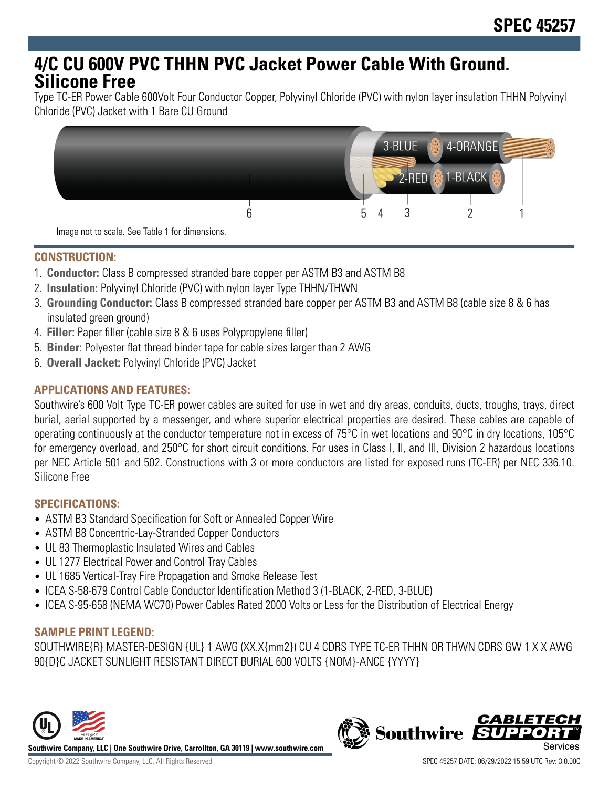# **4/C CU 600V PVC THHN PVC Jacket Power Cable With Ground. Silicone Free**

Type TC-ER Power Cable 600Volt Four Conductor Copper, Polyvinyl Chloride (PVC) with nylon layer insulation THHN Polyvinyl Chloride (PVC) Jacket with 1 Bare CU Ground



Image not to scale. See Table 1 for dimensions.

# **CONSTRUCTION:**

- 1. **Conductor:** Class B compressed stranded bare copper per ASTM B3 and ASTM B8
- 2. **Insulation:** Polyvinyl Chloride (PVC) with nylon layer Type THHN/THWN
- 3. **Grounding Conductor:** Class B compressed stranded bare copper per ASTM B3 and ASTM B8 (cable size 8 & 6 has insulated green ground)
- 4. **Filler:** Paper filler (cable size 8 & 6 uses Polypropylene filler)
- 5. **Binder:** Polyester flat thread binder tape for cable sizes larger than 2 AWG
- 6. **Overall Jacket:** Polyvinyl Chloride (PVC) Jacket

# **APPLICATIONS AND FEATURES:**

Southwire's 600 Volt Type TC-ER power cables are suited for use in wet and dry areas, conduits, ducts, troughs, trays, direct burial, aerial supported by a messenger, and where superior electrical properties are desired. These cables are capable of operating continuously at the conductor temperature not in excess of 75°C in wet locations and 90°C in dry locations, 105°C for emergency overload, and 250°C for short circuit conditions. For uses in Class I, II, and III, Division 2 hazardous locations per NEC Article 501 and 502. Constructions with 3 or more conductors are listed for exposed runs (TC-ER) per NEC 336.10. Silicone Free

#### **SPECIFICATIONS:**

- ASTM B3 Standard Specification for Soft or Annealed Copper Wire
- ASTM B8 Concentric-Lay-Stranded Copper Conductors
- UL 83 Thermoplastic Insulated Wires and Cables
- UL 1277 Electrical Power and Control Tray Cables
- UL 1685 Vertical-Tray Fire Propagation and Smoke Release Test
- ICEA S-58-679 Control Cable Conductor Identification Method 3 (1-BLACK, 2-RED, 3-BLUE)
- ICEA S-95-658 (NEMA WC70) Power Cables Rated 2000 Volts or Less for the Distribution of Electrical Energy

#### **SAMPLE PRINT LEGEND:**

SOUTHWIRE{R} MASTER-DESIGN {UL} 1 AWG (XX.X{mm2}) CU 4 CDRS TYPE TC-ER THHN OR THWN CDRS GW 1 X X AWG 90{D}C JACKET SUNLIGHT RESISTANT DIRECT BURIAL 600 VOLTS {NOM}-ANCE {YYYY}





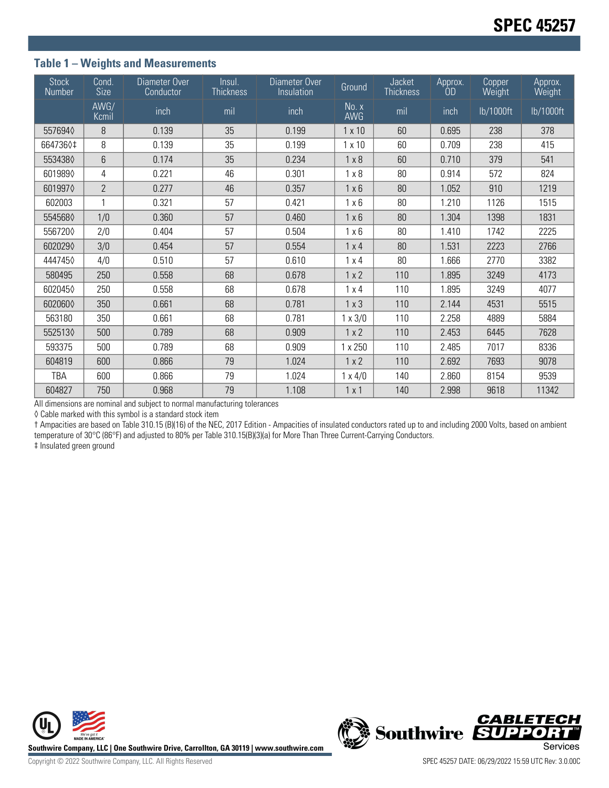## **Table 1 – Weights and Measurements**

| <b>Stock</b><br>Number | Cond.<br><b>Size</b> | Diameter Over<br>Conductor | Insul.<br><b>Thickness</b> | Diameter Over<br>Insulation | Ground         | Jacket<br><b>Thickness</b> | Approx.<br>0D | Copper<br>Weight | Approx.<br>Weight |
|------------------------|----------------------|----------------------------|----------------------------|-----------------------------|----------------|----------------------------|---------------|------------------|-------------------|
|                        | AWG/<br>Kcmil        | inch                       | mil                        | inch                        | No. x<br>AWG   | mil                        | inch          | lb/1000ft        | lb/1000ft         |
| 5576940                | 8                    | 0.139                      | 35                         | 0.199                       | $1 \times 10$  | 60                         | 0.695         | 238              | 378               |
| 6647360‡               | 8                    | 0.139                      | 35                         | 0.199                       | $1 \times 10$  | 60                         | 0.709         | 238              | 415               |
| 5534380                | 6                    | 0.174                      | 35                         | 0.234                       | $1 \times 8$   | 60                         | 0.710         | 379              | 541               |
| 6019890                | 4                    | 0.221                      | 46                         | 0.301                       | $1 \times 8$   | 80                         | 0.914         | 572              | 824               |
| 6019970                | $\overline{2}$       | 0.277                      | 46                         | 0.357                       | $1 \times 6$   | 80                         | 1.052         | 910              | 1219              |
| 602003                 | $\mathbf{1}$         | 0.321                      | 57                         | 0.421                       | $1 \times 6$   | 80                         | 1.210         | 1126             | 1515              |
| 5545680                | 1/0                  | 0.360                      | 57                         | 0.460                       | $1 \times 6$   | 80                         | 1.304         | 1398             | 1831              |
| 5567200                | 2/0                  | 0.404                      | 57                         | 0.504                       | $1 \times 6$   | 80                         | 1.410         | 1742             | 2225              |
| 6020290                | 3/0                  | 0.454                      | 57                         | 0.554                       | $1 \times 4$   | 80                         | 1.531         | 2223             | 2766              |
| 4447450                | 4/0                  | 0.510                      | 57                         | 0.610                       | $1 \times 4$   | 80                         | 1.666         | 2770             | 3382              |
| 580495                 | 250                  | 0.558                      | 68                         | 0.678                       | 1x2            | 110                        | 1.895         | 3249             | 4173              |
| 6020450                | 250                  | 0.558                      | 68                         | 0.678                       | $1 \times 4$   | 110                        | 1.895         | 3249             | 4077              |
| 6020600                | 350                  | 0.661                      | 68                         | 0.781                       | $1 \times 3$   | 110                        | 2.144         | 4531             | 5515              |
| 563180                 | 350                  | 0.661                      | 68                         | 0.781                       | $1 \times 3/0$ | 110                        | 2.258         | 4889             | 5884              |
| 5525130                | 500                  | 0.789                      | 68                         | 0.909                       | 1x2            | 110                        | 2.453         | 6445             | 7628              |
| 593375                 | 500                  | 0.789                      | 68                         | 0.909                       | 1 x 250        | 110                        | 2.485         | 7017             | 8336              |
| 604819                 | 600                  | 0.866                      | 79                         | 1.024                       | 1 x 2          | 110                        | 2.692         | 7693             | 9078              |
| TBA                    | 600                  | 0.866                      | 79                         | 1.024                       | $1 \times 4/0$ | 140                        | 2.860         | 8154             | 9539              |
| 604827                 | 750                  | 0.968                      | 79                         | 1.108                       | 1x1            | 140                        | 2.998         | 9618             | 11342             |

All dimensions are nominal and subject to normal manufacturing tolerances

◊ Cable marked with this symbol is a standard stock item

† Ampacities are based on Table 310.15 (B)(16) of the NEC, 2017 Edition - Ampacities of insulated conductors rated up to and including 2000 Volts, based on ambient temperature of 30°C (86°F) and adjusted to 80% per Table 310.15(B)(3)(a) for More Than Three Current-Carrying Conductors.

‡ Insulated green ground